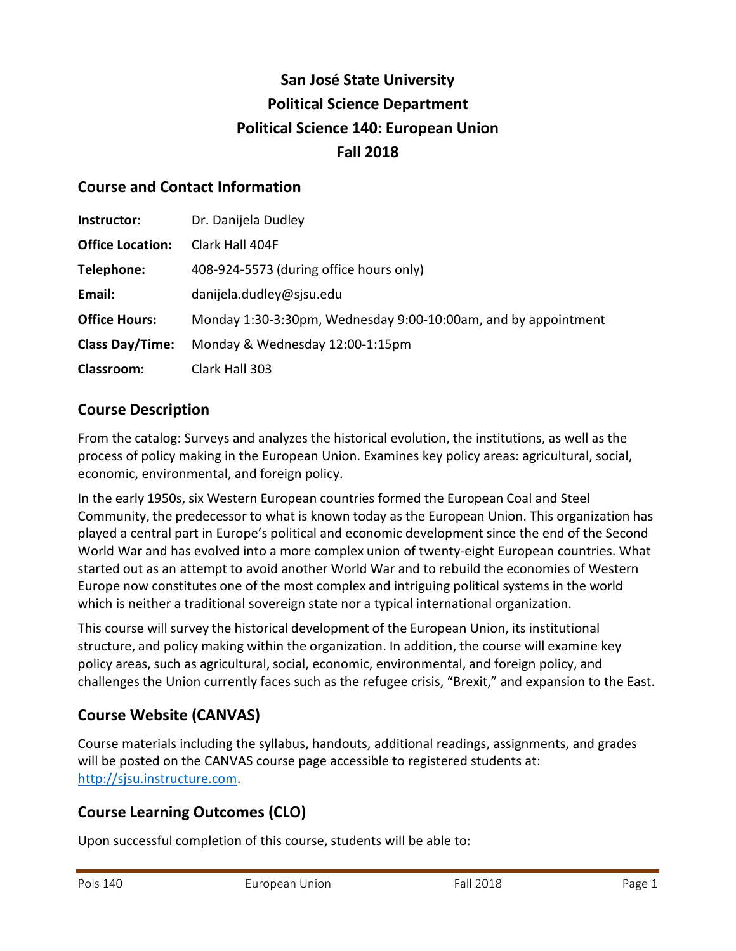# **San José State University Political Science Department Political Science 140: European Union Fall 2018**

#### **Course and Contact Information**

| Instructor:             | Dr. Danijela Dudley                                            |
|-------------------------|----------------------------------------------------------------|
| <b>Office Location:</b> | Clark Hall 404F                                                |
| Telephone:              | 408-924-5573 (during office hours only)                        |
| Email:                  | danijela.dudley@sjsu.edu                                       |
| <b>Office Hours:</b>    | Monday 1:30-3:30pm, Wednesday 9:00-10:00am, and by appointment |
| <b>Class Day/Time:</b>  | Monday & Wednesday 12:00-1:15pm                                |
| <b>Classroom:</b>       | Clark Hall 303                                                 |

#### **Course Description**

From the catalog: Surveys and analyzes the historical evolution, the institutions, as well as the process of policy making in the European Union. Examines key policy areas: agricultural, social, economic, environmental, and foreign policy.

In the early 1950s, six Western European countries formed the European Coal and Steel Community, the predecessor to what is known today as the European Union. This organization has played a central part in Europe's political and economic development since the end of the Second World War and has evolved into a more complex union of twenty-eight European countries. What started out as an attempt to avoid another World War and to rebuild the economies of Western Europe now constitutes one of the most complex and intriguing political systems in the world which is neither a traditional sovereign state nor a typical international organization.

This course will survey the historical development of the European Union, its institutional structure, and policy making within the organization. In addition, the course will examine key policy areas, such as agricultural, social, economic, environmental, and foreign policy, and challenges the Union currently faces such as the refugee crisis, "Brexit," and expansion to the East.

### **Course Website (CANVAS)**

Course materials including the syllabus, handouts, additional readings, assignments, and grades will be posted on the CANVAS course page accessible to registered students at: [http://sjsu.instructure.com.](http://sjsu.instructure.com/)

### **Course Learning Outcomes (CLO)**

Upon successful completion of this course, students will be able to: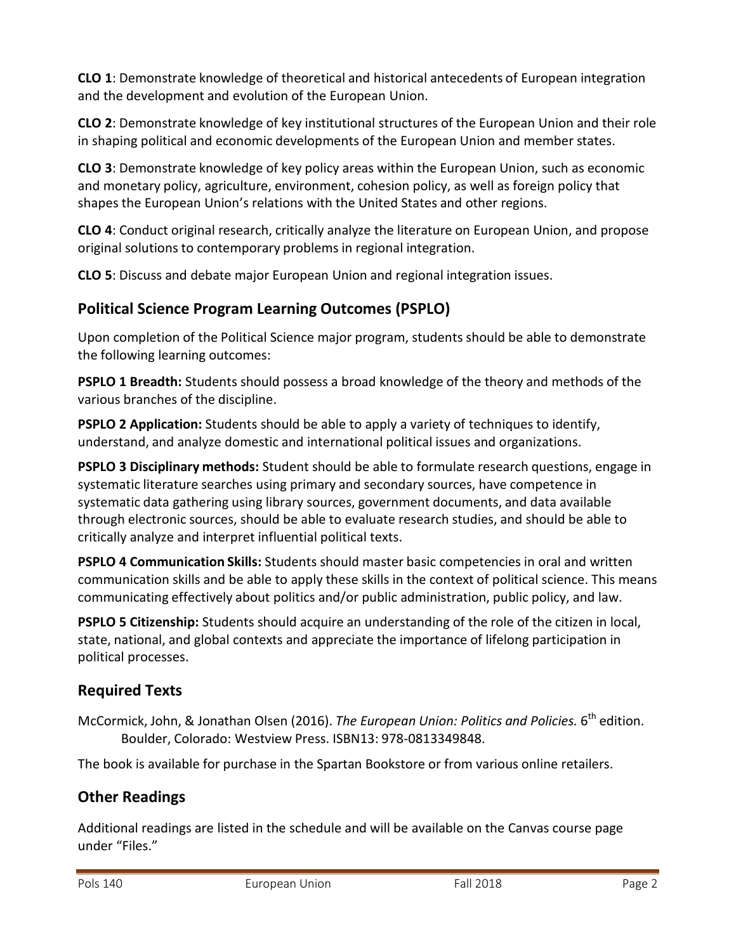**CLO 1**: Demonstrate knowledge of theoretical and historical antecedents of European integration and the development and evolution of the European Union.

**CLO 2**: Demonstrate knowledge of key institutional structures of the European Union and their role in shaping political and economic developments of the European Union and member states.

**CLO 3**: Demonstrate knowledge of key policy areas within the European Union, such as economic and monetary policy, agriculture, environment, cohesion policy, as well as foreign policy that shapes the European Union's relations with the United States and other regions.

**CLO 4**: Conduct original research, critically analyze the literature on European Union, and propose original solutions to contemporary problems in regional integration.

**CLO 5**: Discuss and debate major European Union and regional integration issues.

## **Political Science Program Learning Outcomes (PSPLO)**

Upon completion of the Political Science major program, students should be able to demonstrate the following learning outcomes:

**PSPLO 1 Breadth:** Students should possess a broad knowledge of the theory and methods of the various branches of the discipline.

**PSPLO 2 Application:** Students should be able to apply a variety of techniques to identify, understand, and analyze domestic and international political issues and organizations.

**PSPLO 3 Disciplinary methods:** Student should be able to formulate research questions, engage in systematic literature searches using primary and secondary sources, have competence in systematic data gathering using library sources, government documents, and data available through electronic sources, should be able to evaluate research studies, and should be able to critically analyze and interpret influential political texts.

**PSPLO 4 Communication Skills:** Students should master basic competencies in oral and written communication skills and be able to apply these skills in the context of political science. This means communicating effectively about politics and/or public administration, public policy, and law.

**PSPLO 5 Citizenship:** Students should acquire an understanding of the role of the citizen in local, state, national, and global contexts and appreciate the importance of lifelong participation in political processes.

### **Required Texts**

McCormick, John, & Jonathan Olsen (2016). *The European Union: Politics and Policies.* 6 th edition. Boulder, Colorado: Westview Press. ISBN13: 978-0813349848.

The book is available for purchase in the Spartan Bookstore or from various online retailers.

## **Other Readings**

Additional readings are listed in the schedule and will be available on the Canvas course page under "Files."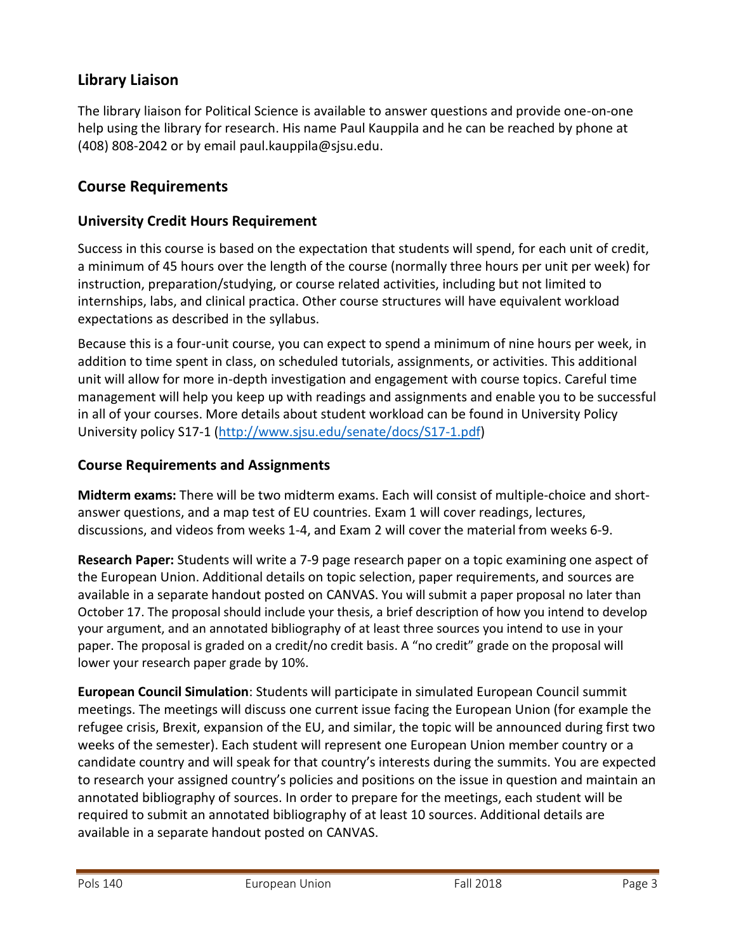#### **Library Liaison**

The library liaison for Political Science is available to answer questions and provide one-on-one help using the library for research. His name Paul Kauppila and he can be reached by phone at (408) 808-2042 or by email [paul.kauppila@sjsu.edu.](mailto:paul.kauppila@sjsu.edu)

#### **Course Requirements**

#### **University Credit Hours Requirement**

Success in this course is based on the expectation that students will spend, for each unit of credit, a minimum of 45 hours over the length of the course (normally three hours per unit per week) for instruction, preparation/studying, or course related activities, including but not limited to internships, labs, and clinical practica. Other course structures will have equivalent workload expectations as described in the syllabus.

Because this is a four-unit course, you can expect to spend a minimum of nine hours per week, in addition to time spent in class, on scheduled tutorials, assignments, or activities. This additional unit will allow for more in-depth investigation and engagement with course topics. Careful time management will help you keep up with readings and assignments and enable you to be successful in all of your courses. More details about student workload can be found in University Policy University policy S17-1 [\(http://www.sjsu.edu/senate/docs/S17-1.pdf\)](http://www.sjsu.edu/senate/docs/S17-1.pdf)

#### **Course Requirements and Assignments**

**Midterm exams:** There will be two midterm exams. Each will consist of multiple-choice and shortanswer questions, and a map test of EU countries. Exam 1 will cover readings, lectures, discussions, and videos from weeks 1-4, and Exam 2 will cover the material from weeks 6-9.

**Research Paper:** Students will write a 7-9 page research paper on a topic examining one aspect of the European Union. Additional details on topic selection, paper requirements, and sources are available in a separate handout posted on CANVAS. You will submit a paper proposal no later than October 17. The proposal should include your thesis, a brief description of how you intend to develop your argument, and an annotated bibliography of at least three sources you intend to use in your paper. The proposal is graded on a credit/no credit basis. A "no credit" grade on the proposal will lower your research paper grade by 10%.

**European Council Simulation**: Students will participate in simulated European Council summit meetings. The meetings will discuss one current issue facing the European Union (for example the refugee crisis, Brexit, expansion of the EU, and similar, the topic will be announced during first two weeks of the semester). Each student will represent one European Union member country or a candidate country and will speak for that country's interests during the summits. You are expected to research your assigned country's policies and positions on the issue in question and maintain an annotated bibliography of sources. In order to prepare for the meetings, each student will be required to submit an annotated bibliography of at least 10 sources. Additional details are available in a separate handout posted on CANVAS.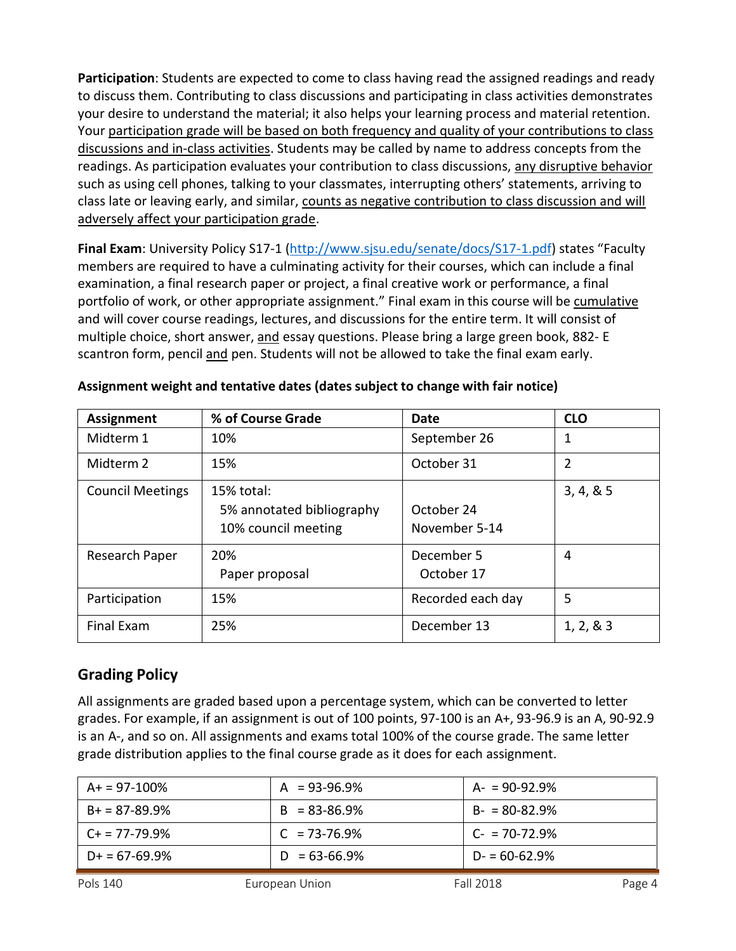**Participation**: Students are expected to come to class having read the assigned readings and ready to discuss them. Contributing to class discussions and participating in class activities demonstrates your desire to understand the material; it also helps your learning process and material retention. Your participation grade will be based on both frequency and quality of your contributions to class discussions and in-class activities. Students may be called by name to address concepts from the readings. As participation evaluates your contribution to class discussions, any disruptive behavior such as using cell phones, talking to your classmates, interrupting others' statements, arriving to class late or leaving early, and similar, counts as negative contribution to class discussion and will adversely affect your participation grade.

**Final Exam**: University Policy S17-1 [\(http://www.sjsu.edu/senate/docs/S17-1.pdf](http://www.sjsu.edu/senate/docs/S17-1.pdf)) states "Faculty members are required to have a culminating activity for their courses, which can include a final examination, a final research paper or project, a final creative work or performance, a final portfolio of work, or other appropriate assignment." Final exam in this course will be cumulative and will cover course readings, lectures, and discussions for the entire term. It will consist of multiple choice, short answer, and essay questions. Please bring a large green book, 882- E scantron form, pencil and pen. Students will not be allowed to take the final exam early.

| <b>Assignment</b>       | % of Course Grade                                                | Date                        | <b>CLO</b> |
|-------------------------|------------------------------------------------------------------|-----------------------------|------------|
| Midterm 1               | 10%                                                              | September 26                | 1          |
| Midterm 2               | 15%                                                              | October 31                  | 2          |
| <b>Council Meetings</b> | $15%$ total:<br>5% annotated bibliography<br>10% council meeting | October 24<br>November 5-14 | 3, 4, 8, 5 |
| Research Paper          | 20%<br>Paper proposal                                            | December 5<br>October 17    | 4          |
| Participation           | 15%                                                              | Recorded each day           | 5          |
| <b>Final Exam</b>       | 25%                                                              | December 13                 | 1, 2, 8, 3 |

#### **Assignment weight and tentative dates (dates subject to change with fair notice)**

#### **Grading Policy**

All assignments are graded based upon a percentage system, which can be converted to letter grades. For example, if an assignment is out of 100 points, 97-100 is an A+, 93-96.9 is an A, 90-92.9 is an A-, and so on. All assignments and exams total 100% of the course grade. The same letter grade distribution applies to the final course grade as it does for each assignment.

| $A+ = 97-100\%$    | $A = 93-96.9%$    | A- = 90-92.9%    |
|--------------------|-------------------|------------------|
| $B+ = 87-89.9%$    | $B = 83 - 86.9\%$ | $B - 80 - 82.9%$ |
| $C_{+}$ = 77-79.9% | $C = 73 - 76.9%$  | $C-70-72.9%$     |
| $D+ = 67-69.9%$    | $D = 63 - 66.9\%$ | $D = 60 - 62.9%$ |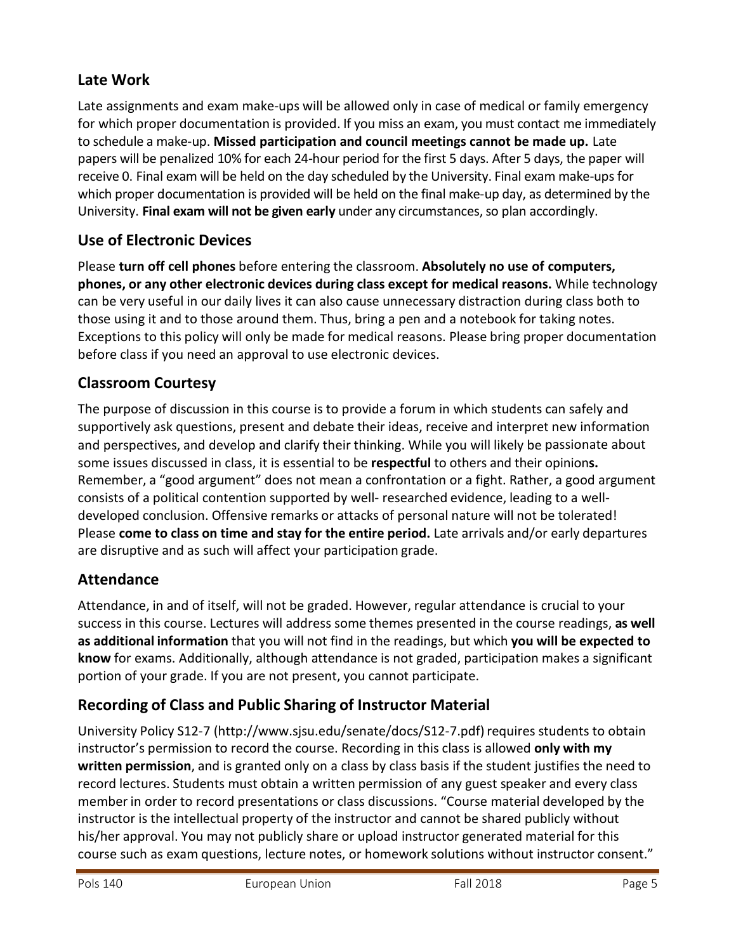## **Late Work**

Late assignments and exam make-ups will be allowed only in case of medical or family emergency for which proper documentation is provided. If you miss an exam, you must contact me immediately to schedule a make-up. **Missed participation and council meetings cannot be made up.** Late papers will be penalized 10% for each 24-hour period for the first 5 days. After 5 days, the paper will receive 0. Final exam will be held on the day scheduled by the University. Final exam make-upsfor which proper documentation is provided will be held on the final make-up day, as determined by the University. **Final exam will not be given early** under any circumstances,so plan accordingly.

## **Use of Electronic Devices**

Please **turn off cell phones** before entering the classroom. **Absolutely no use of computers, phones, or any other electronic devices during class except for medical reasons.** While technology can be very useful in our daily lives it can also cause unnecessary distraction during class both to those using it and to those around them. Thus, bring a pen and a notebook for taking notes. Exceptions to this policy will only be made for medical reasons. Please bring proper documentation before class if you need an approval to use electronic devices.

### **Classroom Courtesy**

The purpose of discussion in this course is to provide a forum in which students can safely and supportively ask questions, present and debate their ideas, receive and interpret new information and perspectives, and develop and clarify their thinking. While you will likely be passionate about some issues discussed in class, it is essential to be **respectful** to others and their opinion**s.** Remember, a "good argument" does not mean a confrontation or a fight. Rather, a good argument consists of a political contention supported by well- researched evidence, leading to a welldeveloped conclusion. Offensive remarks or attacks of personal nature will not be tolerated! Please **come to class on time and stay for the entire period.** Late arrivals and/or early departures are disruptive and as such will affect your participation grade.

## **Attendance**

Attendance, in and of itself, will not be graded. However, regular attendance is crucial to your success in this course. Lectures will address some themes presented in the course readings, **as well as additional information** that you will not find in the readings, but which **you will be expected to know** for exams. Additionally, although attendance is not graded, participation makes a significant portion of your grade. If you are not present, you cannot participate.

## **Recording of Class and Public Sharing of Instructor Material**

[University](http://www.sjsu.edu/senate/docs/S12-7.pdf) Policy S12-7 [\(http://www.sjsu.edu/senate/docs/S12-7.pdf\)](http://www.sjsu.edu/senate/docs/S12-7.pdf) requires students to obtain instructor's permission to record the course. Recording in this class is allowed **only with my written permission**, and is granted only on a class by class basis if the student justifies the need to record lectures. Students must obtain a written permission of any guest speaker and every class member in order to record presentations or class discussions. "Course material developed by the instructor is the intellectual property of the instructor and cannot be shared publicly without his/her approval. You may not publicly share or upload instructor generated material for this course such as exam questions, lecture notes, or homework solutions without instructor consent."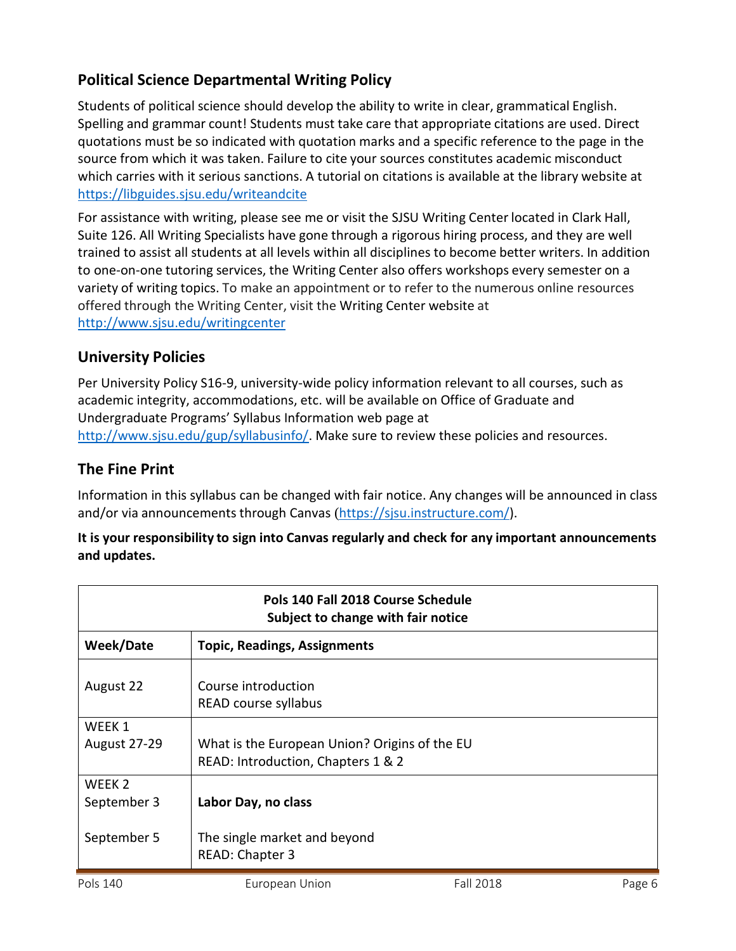### **Political Science Departmental Writing Policy**

Students of political science should develop the ability to write in clear, grammatical English. Spelling and grammar count! Students must take care that appropriate citations are used. Direct quotations must be so indicated with quotation marks and a specific reference to the page in the source from which it was taken. Failure to cite your sources constitutes academic misconduct which carries with it serious sanctions. A tutorial on citations is available at the library website at <https://libguides.sjsu.edu/writeandcite>

For assistance with writing, please see me or visit the SJSU Writing Center located in Clark Hall, Suite 126. All Writing Specialists have gone through a rigorous hiring process, and they are well trained to assist all students at all levels within all disciplines to become better writers. In addition to one-on-one tutoring services, the Writing Center also offers workshops every semester on a variety of writing topics. To make an appointment or to refer to the numerous online resources offered through the Writing Center, visit the Writing Center [website](http://www.sjsu.edu/writingcenter) at <http://www.sjsu.edu/writingcenter>

#### **University Policies**

Per University Policy S16-9, university-wide policy information relevant to all courses, such as academic integrity, accommodations, etc. will be available on Office of Graduate and Undergraduate Programs' Syllabus Information web page at [http://www.sjsu.edu/gup/syllabusinfo/.](http://www.sjsu.edu/gup/syllabusinfo/) Make sure to review these policies and resources.

#### **The Fine Print**

Information in this syllabus can be changed with fair notice. Any changes will be announced in class and/or via announcements through Canvas ([https://sjsu.instructure.com/\)](https://sjsu.instructure.com/).

#### **It is your responsibility to sign into Canvas regularly and check for any important announcements and updates.**

| Pols 140 Fall 2018 Course Schedule<br>Subject to change with fair notice |                                                                                     |
|--------------------------------------------------------------------------|-------------------------------------------------------------------------------------|
| Week/Date                                                                | <b>Topic, Readings, Assignments</b>                                                 |
| August 22                                                                | Course introduction<br>READ course syllabus                                         |
| WEEK 1<br><b>August 27-29</b>                                            | What is the European Union? Origins of the EU<br>READ: Introduction, Chapters 1 & 2 |
| WEEK <sub>2</sub><br>September 3                                         | Labor Day, no class                                                                 |
| September 5                                                              | The single market and beyond<br>READ: Chapter 3                                     |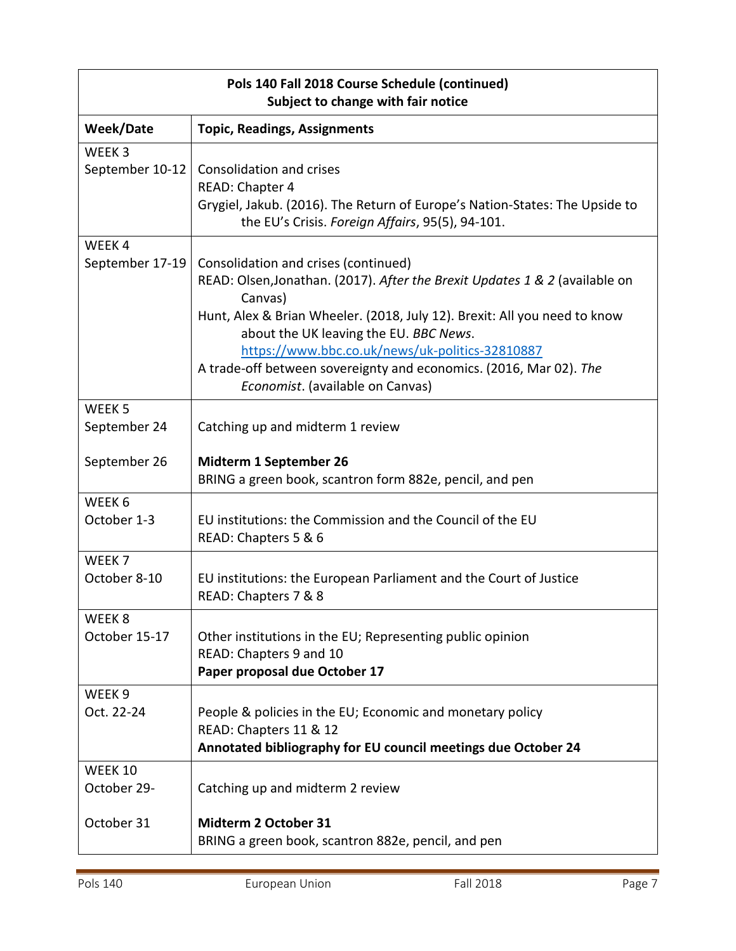| Pols 140 Fall 2018 Course Schedule (continued)<br>Subject to change with fair notice |                                                                                                                                                                                                                                                                                                                                                                                                                    |
|--------------------------------------------------------------------------------------|--------------------------------------------------------------------------------------------------------------------------------------------------------------------------------------------------------------------------------------------------------------------------------------------------------------------------------------------------------------------------------------------------------------------|
| <b>Week/Date</b>                                                                     | <b>Topic, Readings, Assignments</b>                                                                                                                                                                                                                                                                                                                                                                                |
| WEEK <sub>3</sub><br>September 10-12                                                 | Consolidation and crises<br>READ: Chapter 4<br>Grygiel, Jakub. (2016). The Return of Europe's Nation-States: The Upside to<br>the EU's Crisis. Foreign Affairs, 95(5), 94-101.                                                                                                                                                                                                                                     |
| WEEK4<br>September 17-19                                                             | Consolidation and crises (continued)<br>READ: Olsen, Jonathan. (2017). After the Brexit Updates 1 & 2 (available on<br>Canvas)<br>Hunt, Alex & Brian Wheeler. (2018, July 12). Brexit: All you need to know<br>about the UK leaving the EU. BBC News.<br>https://www.bbc.co.uk/news/uk-politics-32810887<br>A trade-off between sovereignty and economics. (2016, Mar 02). The<br>Economist. (available on Canvas) |
| WEEK <sub>5</sub><br>September 24                                                    | Catching up and midterm 1 review                                                                                                                                                                                                                                                                                                                                                                                   |
| September 26                                                                         | Midterm 1 September 26<br>BRING a green book, scantron form 882e, pencil, and pen                                                                                                                                                                                                                                                                                                                                  |
| WEEK 6<br>October 1-3                                                                | EU institutions: the Commission and the Council of the EU<br>READ: Chapters 5 & 6                                                                                                                                                                                                                                                                                                                                  |
| WEEK <sub>7</sub><br>October 8-10                                                    | EU institutions: the European Parliament and the Court of Justice<br>READ: Chapters 7 & 8                                                                                                                                                                                                                                                                                                                          |
| WEEK <sub>8</sub><br>October 15-17                                                   | Other institutions in the EU; Representing public opinion<br>READ: Chapters 9 and 10<br>Paper proposal due October 17                                                                                                                                                                                                                                                                                              |
| WEEK <sub>9</sub><br>Oct. 22-24                                                      | People & policies in the EU; Economic and monetary policy<br>READ: Chapters 11 & 12<br>Annotated bibliography for EU council meetings due October 24                                                                                                                                                                                                                                                               |
| <b>WEEK 10</b><br>October 29-                                                        | Catching up and midterm 2 review                                                                                                                                                                                                                                                                                                                                                                                   |
| October 31                                                                           | Midterm 2 October 31<br>BRING a green book, scantron 882e, pencil, and pen                                                                                                                                                                                                                                                                                                                                         |